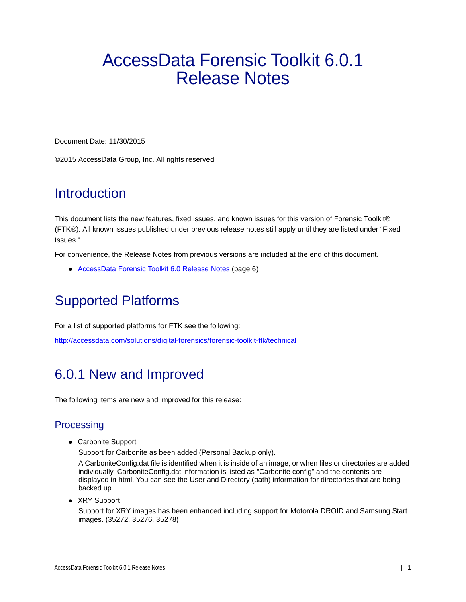# AccessData Forensic Toolkit 6.0.1 Release Notes

Document Date: 11/30/2015

©2015 AccessData Group, Inc. All rights reserved

# **Introduction**

This document lists the new features, fixed issues, and known issues for this version of Forensic Toolkit® (FTK®). All known issues published under previous release notes still apply until they are listed under "Fixed Issues."

For convenience, the Release Notes from previous versions are included at the end of this document.

[AccessData Forensic Toolkit 6.0 Release Notes \(page 6\)](#page-5-0)

# Supported Platforms

For a list of supported platforms for FTK see the following:

<http://accessdata.com/solutions/digital-forensics/forensic-toolkit-ftk/technical>

# 6.0.1 New and Improved

The following items are new and improved for this release:

# **Processing**

Carbonite Support

Support for Carbonite as been added (Personal Backup only).

A CarboniteConfig.dat file is identified when it is inside of an image, or when files or directories are added individually. CarboniteConfig.dat information is listed as "Carbonite config" and the contents are displayed in html. You can see the User and Directory (path) information for directories that are being backed up.

• XRY Support

Support for XRY images has been enhanced including support for Motorola DROID and Samsung Start images. (35272, 35276, 35278)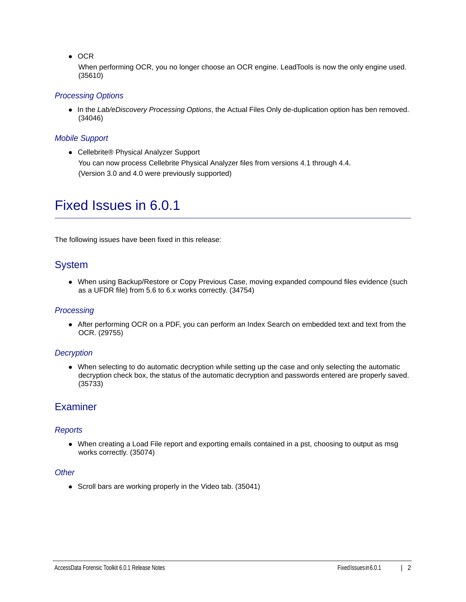$\bullet$  OCR

When performing OCR, you no longer choose an OCR engine. LeadTools is now the only engine used. (35610)

## *Processing Options*

In the *Lab/eDiscovery Processing Options*, the Actual Files Only de-duplication option has ben removed. (34046)

#### *Mobile Support*

● Cellebrite® Physical Analyzer Support You can now process Cellebrite Physical Analyzer files from versions 4.1 through 4.4. (Version 3.0 and 4.0 were previously supported)

# Fixed Issues in 6.0.1

The following issues have been fixed in this release:

# System

• When using Backup/Restore or Copy Previous Case, moving expanded compound files evidence (such as a UFDR file) from 5.6 to 6.x works correctly. (34754)

## *Processing*

After performing OCR on a PDF, you can perform an Index Search on embedded text and text from the OCR. (29755)

## *Decryption*

When selecting to do automatic decryption while setting up the case and only selecting the automatic decryption check box, the status of the automatic decryption and passwords entered are properly saved. (35733)

# **Examiner**

#### *Reports*

When creating a Load File report and exporting emails contained in a pst, choosing to output as msg works correctly. (35074)

## *Other*

• Scroll bars are working properly in the Video tab. (35041)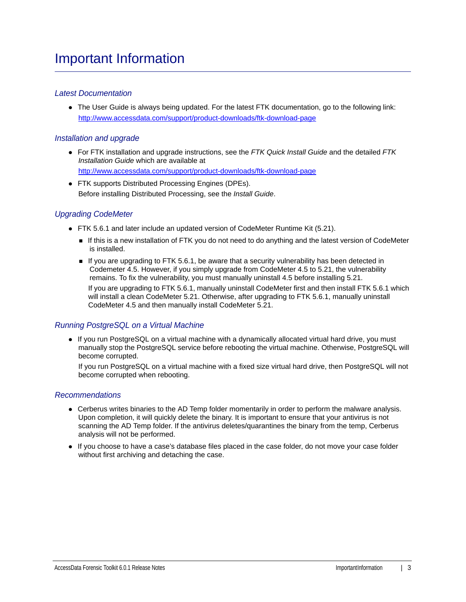## *Latest Documentation*

• The User Guide is always being updated. For the latest FTK documentation, go to the following link: http://www.accessdata.com/support/product-downloads/ftk-download-page

## *Installation and upgrade*

For FTK installation and upgrade instructions, see the *FTK Quick Install Guide* and the detailed *FTK Installation Guide* which are available at

http://www.accessdata.com/support/product-downloads/ftk-download-page

FTK supports Distributed Processing Engines (DPEs). Before installing Distributed Processing, see the *Install Guide*.

# *Upgrading CodeMeter*

- FTK 5.6.1 and later include an updated version of CodeMeter Runtime Kit (5.21).
	- If this is a new installation of FTK you do not need to do anything and the latest version of CodeMeter is installed.
	- If you are upgrading to FTK 5.6.1, be aware that a security vulnerability has been detected in Codemeter 4.5. However, if you simply upgrade from CodeMeter 4.5 to 5.21, the vulnerability remains. To fix the vulnerability, you must manually uninstall 4.5 before installing 5.21.

If you are upgrading to FTK 5.6.1, manually uninstall CodeMeter first and then install FTK 5.6.1 which will install a clean CodeMeter 5.21. Otherwise, after upgrading to FTK 5.6.1, manually uninstall CodeMeter 4.5 and then manually install CodeMeter 5.21.

## *Running PostgreSQL on a Virtual Machine*

• If you run PostgreSQL on a virtual machine with a dynamically allocated virtual hard drive, you must manually stop the PostgreSQL service before rebooting the virtual machine. Otherwise, PostgreSQL will become corrupted.

If you run PostgreSQL on a virtual machine with a fixed size virtual hard drive, then PostgreSQL will not become corrupted when rebooting.

## *Recommendations*

- Cerberus writes binaries to the AD Temp folder momentarily in order to perform the malware analysis. Upon completion, it will quickly delete the binary. It is important to ensure that your antivirus is not scanning the AD Temp folder. If the antivirus deletes/quarantines the binary from the temp, Cerberus analysis will not be performed.
- If you choose to have a case's database files placed in the case folder, do not move your case folder without first archiving and detaching the case.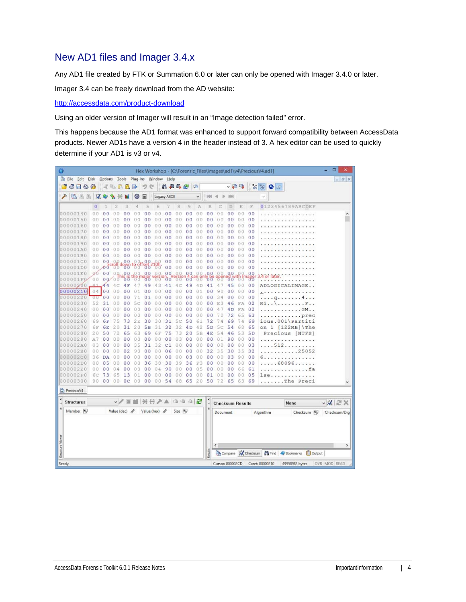# New AD1 files and Imager 3.4.x

Any AD1 file created by FTK or Summation 6.0 or later can only be opened with Imager 3.4.0 or later.

Imager 3.4 can be freely download from the AD website:

<http://accessdata.com/product-download>

Using an older version of Imager will result in an "Image detection failed" error.

This happens because the AD1 format was enhanced to support forward compatibility between AccessData products. Newer AD1s have a version 4 in the header instead of 3. A hex editor can be used to quickly determine if your AD1 is v3 or v4.

| Ø                       |                      |                                                                                |                 |                    |                |                 |                |                                    |                      |          |                |                       |                      |                         |                |                |                | Hex Workshop - [C:\Forensic_Files\images\ad1\v4\PreciousV4.ad1] | ▭<br>$\boldsymbol{\mathsf{x}}$ |
|-------------------------|----------------------|--------------------------------------------------------------------------------|-----------------|--------------------|----------------|-----------------|----------------|------------------------------------|----------------------|----------|----------------|-----------------------|----------------------|-------------------------|----------------|----------------|----------------|-----------------------------------------------------------------|--------------------------------|
|                         | Eile Edit Disk       |                                                                                |                 |                    |                |                 |                | Options Tools Plug-Ins Window Help |                      |          |                |                       |                      |                         |                |                |                |                                                                 | $  \in$ $x$                    |
|                         | 6 F & #              |                                                                                |                 | 水中品品               |                | 季               | $\mathcal{L}$  | e                                  |                      | 用品品色     |                | 唱                     |                      |                         |                | ↓日吗            |                | $\frac{1}{\sqrt{2}}\sum_{i=1}^{n}$<br>۵<br>$\frac{1}{2}$        |                                |
|                         | 临海道                  |                                                                                | $\sqrt{2}$      |                    |                | 镲               | 匣              |                                    | Legacy ASCII         |          |                | v                     | 94                   |                         |                |                |                | $\checkmark$                                                    |                                |
|                         |                      | $\overline{0}$                                                                 | ı               | 2                  | з              | 4               | 5              | 6                                  |                      | 8        | 9              | A                     | B                    |                         | D              | E              | E              | 0123456789ABCDEF                                                |                                |
|                         | 00000140             | 0 <sub>0</sub>                                                                 | 0 <sup>0</sup>  | 00                 | 0 <sub>0</sub> | 0.0             | 0 <sub>0</sub> | 0.O                                | 00                   | 00       | 00             | 00                    | 0 <sub>0</sub>       | α                       | 00             | 0 <sub>0</sub> | 00             |                                                                 | ۸                              |
|                         | 00000150             | 00                                                                             | 0<br>$\circ$    | 0<br>n             | 0<br>$\circ$   | 00              | 0<br>0         | O<br>0                             | 0<br>0               | 00       | 0 <sup>0</sup> | $\circ$<br>$^{\circ}$ | 0 <sup>0</sup>       | 0<br>Ō                  | 00             | 00             | 00             |                                                                 |                                |
|                         | 00000160             | 00                                                                             | 00              | $\circ$<br>Ω       | 00             | 00              | 0 <sub>0</sub> | 00                                 | 00                   | 00       | 0 <sup>0</sup> | 0.0                   | 00                   | $\Omega$<br>0           | 00             | 0.0            | 00             |                                                                 |                                |
|                         | 00000170             | 00                                                                             | 00              | 00                 | 0 <sup>0</sup> | 00              | 0 <sup>0</sup> | 00                                 | 0 <sub>0</sub>       | 00       | 0 <sup>0</sup> | 00                    | 00                   | 00                      | 00             | 00             | 00             |                                                                 |                                |
|                         | 00000180             | 00                                                                             | 0 <sup>0</sup>  | 0<br>0             | 00             | 00              | 0<br>$\circ$   | 0<br>O                             | o<br>0               | 00       | 00             | 00                    | 00                   | 00                      | 00             | 00             | 00             |                                                                 |                                |
|                         | 00000190             | 00                                                                             | 00              | 00                 | 00             | 00              | 00             | 00                                 | 0 <sup>0</sup>       | 0.0      | 0 <sub>0</sub> | 0.0                   | 0 <sup>0</sup>       | 0 <sup>0</sup>          | 00             | 0 <sub>0</sub> | 00             |                                                                 |                                |
|                         | 000001A0             | 00                                                                             | 0<br>0          | o<br>O             | 0<br>o         | 0.0             | 0<br>0         | O<br>O                             | 0<br>0               | 00       | 0 <sub>0</sub> | 00                    | 0 <sup>0</sup>       | 0.0                     | 00             | 00             | 0 <sup>0</sup> |                                                                 |                                |
|                         | 000001B0             | 0.0                                                                            | 0 <sup>0</sup>  | 00                 | 0 <sup>0</sup> | 00              | 0 <sup>0</sup> | 00                                 | 0 <sub>0</sub>       | 00       | 00             | 0<br>$\theta$         | 00                   | 0<br>0                  | 00             | 00             | 00             |                                                                 |                                |
|                         | 000001C0             | 00                                                                             | 0Q              | O.                 | 00             |                 | 0<br>O         |                                    | 0 <sup>0</sup>       | 00       | 00             | 00                    | 00                   | 00                      | 00             | 00             | 00             |                                                                 |                                |
|                         | 000001D0             | 00                                                                             | 00              |                    | <b>BP</b> down | $^{18}$ $^{01}$ | .co            | $^{196}$                           | 00                   | 00       | 0 <sup>o</sup> | 00                    | 0 <sup>o</sup>       | 00                      | 0 <sup>0</sup> | 00             | 00             |                                                                 |                                |
|                         | 000001E0             | 00                                                                             | 00              | 00                 | 0.0            | .00.            | 00             | 0.0                                | 0Q                   | 0.0      | 0.0            | 00                    | 0.0                  | 00                      | 00             | 00             | 00             | 4 or later                                                      |                                |
|                         | 000001FQ             | 00                                                                             |                 | 0000               | ðδ             |                 |                |                                    | 00                   |          | 00             |                       | ხზ                   |                         | შძ             |                | 88             |                                                                 |                                |
|                         | 00000200             |                                                                                | 44              | c                  | 4 F            | 47              | 49             | 43                                 | 41                   | 4C       | 49             | 4 D                   | 41                   | 4                       | 45             | 0 <sub>0</sub> | 00             | ADLOGICALIMAGE                                                  |                                |
|                         | 00000210             |                                                                                | 04 00           | 0 <sub>0</sub>     | 0 <sup>0</sup> | 01              | 0 <sup>0</sup> | 00                                 | 0 <sub>0</sub>       | 00       | 0 <sup>0</sup> | 01                    | 0 <sub>0</sub>       | 9<br>0                  | 00             | 0 <sub>0</sub> | 00             | .                                                               |                                |
|                         | 00000220             | υU                                                                             | 0 <sup>0</sup>  | 0                  | 00             | 71              | 01             | 00                                 | 00                   | 00       | 00             | 00                    | 00                   | 34                      | 00             | 0.0            | 00             | 4.<br>q                                                         |                                |
|                         | 00000230             | 52                                                                             | 31              | Ö<br>0             | 00             | 5<br>Ċ          | 0 <sup>0</sup> | 00                                 | 00                   | 00       | 0 <sup>0</sup> | 00                    | 00                   | 3<br>E                  | 46             | FA             | 02             | R1.                                                             |                                |
|                         | 00000240             | 0 <sub>0</sub>                                                                 | 0 <sup>0</sup>  | 0<br>0             | 00             | 00              | 0 <sub>0</sub> | 00                                 | 0 <sub>0</sub>       | 00       | 00             | 00                    | 0 <sub>0</sub>       | 4<br>7                  | 4D             | FA             | 02             | .GM.                                                            |                                |
|                         | 00000250             | 00                                                                             | 00              | 00                 | 00             | 00              | 0 <sub>0</sub> | 00                                 | 0 <sub>0</sub>       | 00       | 0 <sub>0</sub> | 00                    | 0 <sub>0</sub>       | 70                      | 72             | 65             | 63             | .prec                                                           |                                |
|                         | 00000260             | 69                                                                             | 6F              | 75                 | 73             | 2E              | 30             | 30                                 | 31                   | 5c       | 50             | 61                    | 72                   | 74                      | 69             | 74             | 69             | ious.001\Partiti                                                |                                |
|                         | 00000270             | 6F                                                                             | 6E              | 20                 | 31             | 20              | 5B             | 31                                 | 32                   | 32       | 4D             | 42                    | 5 <sub>D</sub>       | 5<br>Ċ                  | 54             | 6.8            | 65             | 1<br>$[122MB]$ The<br>on                                        |                                |
|                         | 00000280             | 20                                                                             | 50              | 72                 | 65             | 63              | 69             | 6F                                 | 75                   | 73       | 20             | 5B                    | 4E                   | 54                      | 46             | 53             | 5 <sub>D</sub> | Precious [NTFS]                                                 |                                |
|                         | 00000290             | A7                                                                             | 00              | 00                 | 00             | 00              | 00             | 00                                 | 0<br>0               | 03       | 00             | 00                    | 00                   | 01                      | 90             | 00             | 00             |                                                                 |                                |
|                         | 000002A0             | 03                                                                             | 00              | 00                 | 00<br>02       | 35              | 31             | 32                                 | C1                   | 00       | 00             | 00                    | 00<br>32             | 0 <sub>0</sub>          | 00             | 00             | 03             | .512                                                            |                                |
|                         | 000002B0<br>000002C0 | 00<br>36                                                                       | 00<br><b>DA</b> | 00<br>0<br>0       | 0 <sup>0</sup> | 90<br>00        | 00<br>00       | 0.0<br>00                          | 06<br>0 <sub>0</sub> | 00<br>00 | 00<br>03       | 00<br>00              | 00                   | 35<br>0                 | 30<br>03       | 35<br>90       | 32<br>00       | $\ldots \ldots 25052$                                           |                                |
|                         | 000002D0             | 00                                                                             | 05              | 0<br>0             | 00             | 0.0             | 36             | 38                                 | 30                   | 39       | 36             | F3                    | 0 <sup>0</sup>       | 0<br>0<br>0             | 00             | 0.0            | 00             | .<br>.68096                                                     |                                |
|                         | 000002E0             | 0 <sub>0</sub>                                                                 | 0 <sub>0</sub>  |                    | 00             |                 | 00             | 04                                 | 9<br>$\circ$         | 00       | 00             | 0<br>5                | 00                   | 0                       | 00             | 66             | 61             | $-1 - 1 - 1$                                                    |                                |
|                         | 000002F0             | 6С                                                                             | 73              | 5<br>6             | 13             | 01              | 00             | 00                                 | 0 <sup>0</sup>       | 00       | 00             | 00                    | $^{01}$              | 0<br>0                  | 00             | 00             | 05             | lse                                                             |                                |
|                         | 00000300             | 90                                                                             | 00              | 00                 | 0 <sup>c</sup> | 00              | 0 <sub>0</sub> | 00                                 | 54                   | 68       | 65             | 20                    | 50                   | 72                      | 65             | 63             | 69             | .The Preci                                                      |                                |
|                         |                      |                                                                                |                 |                    |                |                 |                |                                    |                      |          |                |                       |                      |                         |                |                |                |                                                                 |                                |
|                         | Precious V4.         |                                                                                |                 |                    |                |                 |                |                                    |                      |          |                |                       |                      |                         |                |                |                |                                                                 |                                |
| ×                       | <b>Structures</b>    |                                                                                |                 |                    | $\sqrt{2}$     |                 |                | IBH 공주 A   13 13 12                |                      |          |                |                       | ×<br>$\epsilon$      | <b>Checksum Results</b> |                |                |                | None                                                            | $\vee$ X $\cong$ X             |
|                         | Member <sup>16</sup> |                                                                                |                 | Value (dec) $\rho$ |                |                 |                | Value (hex) 2                      |                      | Size In  |                |                       | $\ddot{\phantom{0}}$ | Document                |                |                |                | Algorithm<br>Checksum 10                                        | Checksum/Dig                   |
|                         |                      |                                                                                |                 |                    |                |                 |                |                                    |                      |          |                |                       |                      |                         |                |                |                |                                                                 |                                |
|                         |                      |                                                                                |                 |                    |                |                 |                |                                    |                      |          |                |                       |                      |                         |                |                |                |                                                                 |                                |
| <b>Structure Viewer</b> |                      |                                                                                |                 |                    |                |                 |                |                                    |                      |          |                |                       |                      | $\epsilon$              |                |                |                |                                                                 | $\rightarrow$                  |
|                         |                      |                                                                                |                 |                    |                |                 |                |                                    |                      |          |                |                       | Results              |                         |                |                |                | Compare K Checksum   6 Find   Bookmarks   B Output              |                                |
|                         |                      | Caret: 00000210<br>Ready<br>Cursor: 000002CD<br>49958983 bytes<br>OVR MOD READ |                 |                    |                |                 |                |                                    |                      |          |                |                       |                      |                         |                |                |                |                                                                 |                                |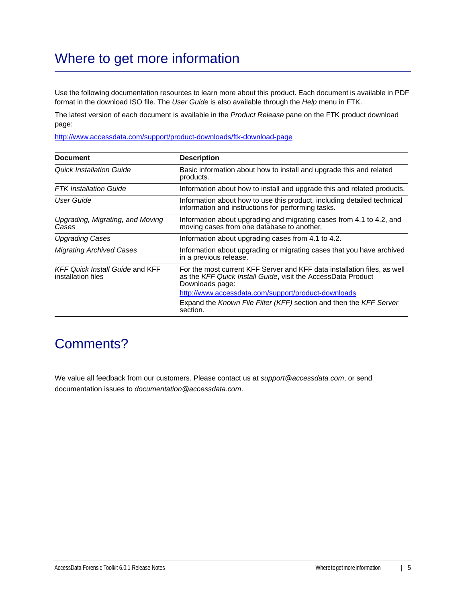# Where to get more information

Use the following documentation resources to learn more about this product. Each document is available in PDF format in the download ISO file. The *User Guide* is also available through the *Help* menu in FTK.

The latest version of each document is available in the *Product Release* pane on the FTK product download page:

http://www.accessdata.com/support/product-downloads/ftk-download-page

| <b>Document</b>                                              | <b>Description</b>                                                                                                                                          |
|--------------------------------------------------------------|-------------------------------------------------------------------------------------------------------------------------------------------------------------|
| Quick Installation Guide                                     | Basic information about how to install and upgrade this and related<br>products.                                                                            |
| <b>FTK</b> Installation Guide                                | Information about how to install and upgrade this and related products.                                                                                     |
| User Guide                                                   | Information about how to use this product, including detailed technical<br>information and instructions for performing tasks.                               |
| Upgrading, Migrating, and Moving<br>Cases                    | Information about upgrading and migrating cases from 4.1 to 4.2, and<br>moving cases from one database to another.                                          |
| <b>Upgrading Cases</b>                                       | Information about upgrading cases from 4.1 to 4.2.                                                                                                          |
| <b>Migrating Archived Cases</b>                              | Information about upgrading or migrating cases that you have archived<br>in a previous release.                                                             |
| <b>KFF Quick Install Guide and KFF</b><br>installation files | For the most current KFF Server and KFF data installation files, as well<br>as the KFF Quick Install Guide, visit the AccessData Product<br>Downloads page: |
|                                                              | http://www.accessdata.com/support/product-downloads                                                                                                         |
|                                                              | Expand the Known File Filter (KFF) section and then the KFF Server<br>section.                                                                              |

# Comments?

We value all feedback from our customers. Please contact us at *support@accessdata.com*, or send documentation issues to *documentation@accessdata.com*.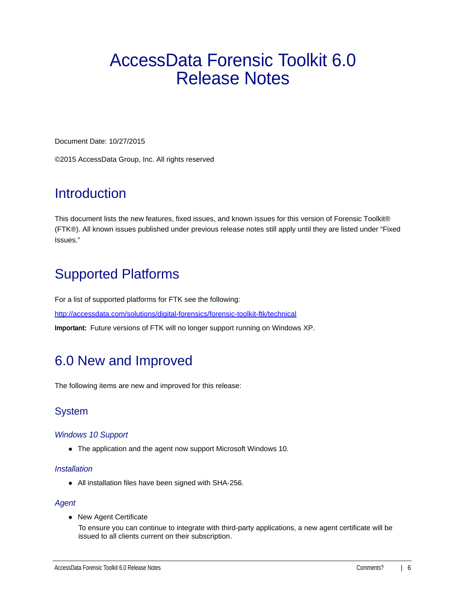# <span id="page-5-0"></span>AccessData Forensic Toolkit 6.0 Release Notes

Document Date: 10/27/2015

©2015 AccessData Group, Inc. All rights reserved

# **Introduction**

This document lists the new features, fixed issues, and known issues for this version of Forensic Toolkit® (FTK®). All known issues published under previous release notes still apply until they are listed under "Fixed Issues."

# Supported Platforms

For a list of supported platforms for FTK see the following: <http://accessdata.com/solutions/digital-forensics/forensic-toolkit-ftk/technical> **Important:** Future versions of FTK will no longer support running on Windows XP.

# 6.0 New and Improved

The following items are new and improved for this release:

# System

# *Windows 10 Support*

The application and the agent now support Microsoft Windows 10.

## *Installation*

All installation files have been signed with SHA-256.

## *Agent*

• New Agent Certificate

To ensure you can continue to integrate with third-party applications, a new agent certificate will be issued to all clients current on their subscription.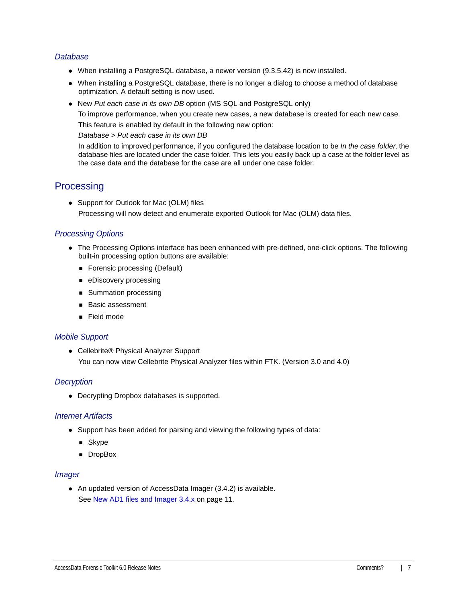## *Database*

- When installing a PostgreSQL database, a newer version (9.3.5.42) is now installed.
- When installing a PostgreSQL database, there is no longer a dialog to choose a method of database optimization. A default setting is now used.
- New *Put each case in its own DB* option (MS SQL and PostgreSQL only)

To improve performance, when you create new cases, a new database is created for each new case.

This feature is enabled by default in the following new option:

*Database* > *Put each case in its own DB*

In addition to improved performance, if you configured the database location to be *In the case folder*, the database files are located under the case folder. This lets you easily back up a case at the folder level as the case data and the database for the case are all under one case folder.

# **Processing**

• Support for Outlook for Mac (OLM) files Processing will now detect and enumerate exported Outlook for Mac (OLM) data files.

# *Processing Options*

- The Processing Options interface has been enhanced with pre-defined, one-click options. The following built-in processing option buttons are available:
	- Forensic processing (Default)
	- **eDiscovery processing**
	- **Summation processing**
	- **Basic assessment**
	- Field mode

## *Mobile Support*

● Cellebrite® Physical Analyzer Support You can now view Cellebrite Physical Analyzer files within FTK. (Version 3.0 and 4.0)

## *Decryption*

Decrypting Dropbox databases is supported.

## *Internet Artifacts*

- Support has been added for parsing and viewing the following types of data:
	- **B** Skype
	- **DropBox**

#### *Imager*

An updated version of AccessData Imager (3.4.2) is available. [See New AD1 files and Imager 3.4.x on page 11.](#page-10-0)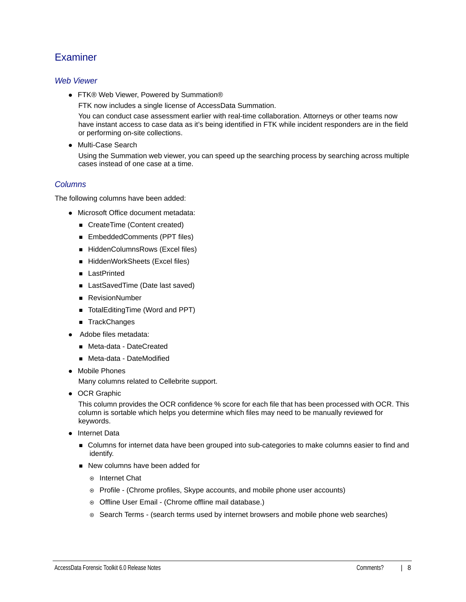# **Examiner**

## *Web Viewer*

● FTK® Web Viewer, Powered by Summation®

FTK now includes a single license of AccessData Summation.

You can conduct case assessment earlier with real-time collaboration. Attorneys or other teams now have instant access to case data as it's being identified in FTK while incident responders are in the field or performing on-site collections.

Multi-Case Search

Using the Summation web viewer, you can speed up the searching process by searching across multiple cases instead of one case at a time.

# *Columns*

The following columns have been added:

- Microsoft Office document metadata:
	- CreateTime (Content created)
	- EmbeddedComments (PPT files)
	- HiddenColumnsRows (Excel files)
	- HiddenWorkSheets (Excel files)
	- **LastPrinted**
	- LastSavedTime (Date last saved)
	- RevisionNumber
	- TotalEditingTime (Word and PPT)
	- TrackChanges
- Adobe files metadata:
	- Meta-data DateCreated
	- Meta-data DateModified
- Mobile Phones

Many columns related to Cellebrite support.

• OCR Graphic

This column provides the OCR confidence % score for each file that has been processed with OCR. This column is sortable which helps you determine which files may need to be manually reviewed for keywords.

- Internet Data
	- **DED Columns for internet data have been grouped into sub-categories to make columns easier to find and** identify.
	- New columns have been added for
		- **⊙** Internet Chat
		- Profile (Chrome profiles, Skype accounts, and mobile phone user accounts)
		- o Offline User Email (Chrome offline mail database.)
		- $\circ$  Search Terms (search terms used by internet browsers and mobile phone web searches)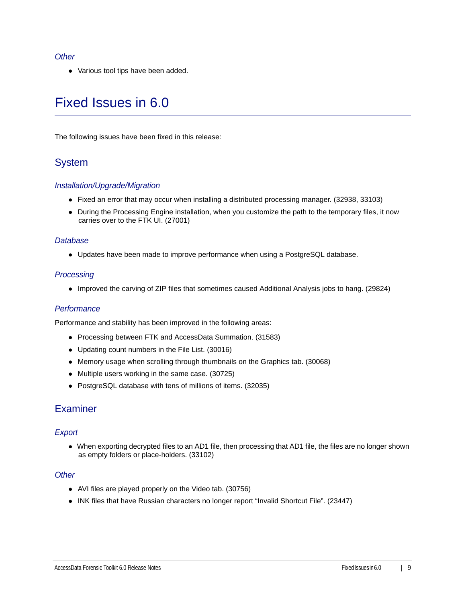#### *Other*

Various tool tips have been added.

# Fixed Issues in 6.0

The following issues have been fixed in this release:

# System

## *Installation/Upgrade/Migration*

- Fixed an error that may occur when installing a distributed processing manager. (32938, 33103)
- During the Processing Engine installation, when you customize the path to the temporary files, it now carries over to the FTK UI. (27001)

#### *Database*

Updates have been made to improve performance when using a PostgreSQL database.

#### *Processing*

Improved the carving of ZIP files that sometimes caused Additional Analysis jobs to hang. (29824)

## *Performance*

Performance and stability has been improved in the following areas:

- Processing between FTK and AccessData Summation. (31583)
- Updating count numbers in the File List. (30016)
- Memory usage when scrolling through thumbnails on the Graphics tab. (30068)
- Multiple users working in the same case. (30725)
- PostgreSQL database with tens of millions of items. (32035)

# **Examiner**

## *Export*

When exporting decrypted files to an AD1 file, then processing that AD1 file, the files are no longer shown as empty folders or place-holders. (33102)

#### *Other*

- AVI files are played properly on the Video tab. (30756)
- INK files that have Russian characters no longer report "Invalid Shortcut File". (23447)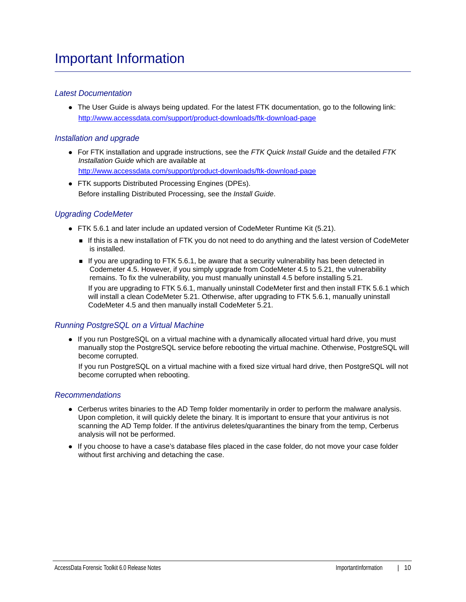## *Latest Documentation*

The User Guide is always being updated. For the latest FTK documentation, go to the following link: http://www.accessdata.com/support/product-downloads/ftk-download-page

## *Installation and upgrade*

For FTK installation and upgrade instructions, see the *FTK Quick Install Guide* and the detailed *FTK Installation Guide* which are available at

http://www.accessdata.com/support/product-downloads/ftk-download-page

FTK supports Distributed Processing Engines (DPEs). Before installing Distributed Processing, see the *Install Guide*.

# *Upgrading CodeMeter*

- FTK 5.6.1 and later include an updated version of CodeMeter Runtime Kit (5.21).
	- If this is a new installation of FTK you do not need to do anything and the latest version of CodeMeter is installed.
	- If you are upgrading to FTK 5.6.1, be aware that a security vulnerability has been detected in Codemeter 4.5. However, if you simply upgrade from CodeMeter 4.5 to 5.21, the vulnerability remains. To fix the vulnerability, you must manually uninstall 4.5 before installing 5.21.

If you are upgrading to FTK 5.6.1, manually uninstall CodeMeter first and then install FTK 5.6.1 which will install a clean CodeMeter 5.21. Otherwise, after upgrading to FTK 5.6.1, manually uninstall CodeMeter 4.5 and then manually install CodeMeter 5.21.

## *Running PostgreSQL on a Virtual Machine*

• If you run PostgreSQL on a virtual machine with a dynamically allocated virtual hard drive, you must manually stop the PostgreSQL service before rebooting the virtual machine. Otherwise, PostgreSQL will become corrupted.

If you run PostgreSQL on a virtual machine with a fixed size virtual hard drive, then PostgreSQL will not become corrupted when rebooting.

## *Recommendations*

- Cerberus writes binaries to the AD Temp folder momentarily in order to perform the malware analysis. Upon completion, it will quickly delete the binary. It is important to ensure that your antivirus is not scanning the AD Temp folder. If the antivirus deletes/quarantines the binary from the temp, Cerberus analysis will not be performed.
- If you choose to have a case's database files placed in the case folder, do not move your case folder without first archiving and detaching the case.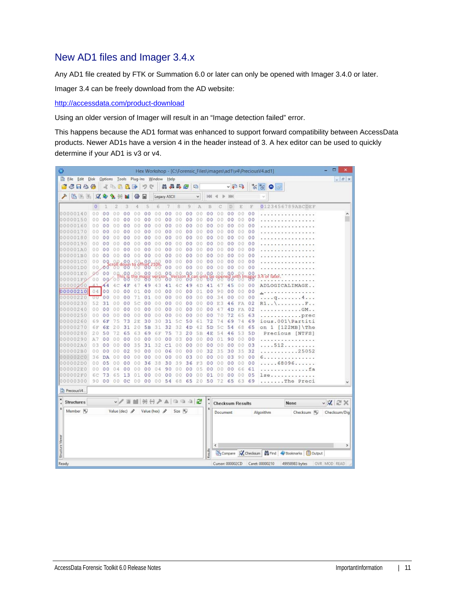# <span id="page-10-0"></span>New AD1 files and Imager 3.4.x

Any AD1 file created by FTK or Summation 6.0 or later can only be opened with Imager 3.4.0 or later.

Imager 3.4 can be freely download from the AD website:

<http://accessdata.com/product-download>

Using an older version of Imager will result in an "Image detection failed" error.

This happens because the AD1 format was enhanced to support forward compatibility between AccessData products. Newer AD1s have a version 4 in the header instead of 3. A hex editor can be used to quickly determine if your AD1 is v3 or v4.

| Ø                       |                      |                |                |                    |                |                |                |                                    |                |                |                |                |                 |                         |                |                |                | Hex Workshop - [C:\Forensic_Files\images\ad1\v4\PreciousV4.ad1]           | ۰<br>$\boldsymbol{\mathsf{x}}$ |
|-------------------------|----------------------|----------------|----------------|--------------------|----------------|----------------|----------------|------------------------------------|----------------|----------------|----------------|----------------|-----------------|-------------------------|----------------|----------------|----------------|---------------------------------------------------------------------------|--------------------------------|
|                         | Eile Edit Disk       |                |                |                    |                |                |                | Options Tools Plug-Ins Window Help |                |                |                |                |                 |                         |                |                |                |                                                                           | $  \in$ $x$                    |
|                         | 6 F & &              |                |                | 水中温品牌              |                |                | 坅<br>e         |                                    |                | 用品品色           |                | 吗              |                 |                         |                | ↓日吗            |                | $\frac{1}{\sqrt{2}}\frac{1}{\sqrt{2}}\frac{1}{\sqrt{2}}$<br>٠<br>$\equiv$ |                                |
|                         | 临笔图                  |                | $\mathcal{A}$  | ą,                 |                | 镲              | 匣              |                                    | Legacy ASCII   |                |                | $\checkmark$   | 94              |                         |                |                |                | $\ddot{}$                                                                 |                                |
|                         |                      | $\circ$        | 7              | 2                  | 3              | 4              | 5              | 6                                  |                | 8              | 9              | A              | B               |                         | D              | E              | F              | 0123456789ABCDEF                                                          |                                |
|                         | 00000140             | 0 <sub>0</sub> | 0 <sup>0</sup> | 00                 | 0 <sup>0</sup> | 0.0            | 0 <sub>0</sub> | 0.O                                | 0 <sub>0</sub> | 00             | 00             | 00             | 0 <sub>0</sub>  | 0<br>Ð                  | 00             | 0 <sub>0</sub> | 00             |                                                                           | ۸                              |
|                         | 00000150             | 00             | 0<br>$\circ$   | 0<br>O             | 0<br>$\circ$   | 00             | 0<br>0         | O<br>0                             | 0<br>0         | 00             | 00             | 0<br>0         | 00              | 0<br>0                  | 00             | 00             | 00             |                                                                           |                                |
|                         | 00000160             | 00             | 0 <sup>0</sup> | $\circ$<br>0       | 0 <sup>0</sup> | 00             | 0 <sub>0</sub> | 00                                 | 0 <sup>0</sup> | 00             | 0 <sub>0</sub> | 0.0            | 00              | $\Omega$<br>0           | 00             | 0.0            | 0 <sub>0</sub> |                                                                           |                                |
|                         | 00000170             | 00             | 00             | 00                 | 00             | 00             | 0 <sup>0</sup> | 00                                 | 0 <sub>0</sub> | 00             | 0 <sup>0</sup> | 00             | 00              | 00                      | 00             | 00             | 00             |                                                                           |                                |
|                         | 00000180             | 00             | 0 <sup>0</sup> | 00                 | 00             | 00             | 00             | 00                                 | 0<br>0         | 00             | 00             | 0.0            | 00              | 00                      | 00             | 0.0            | 00             |                                                                           |                                |
|                         | 00000190             | 0.0            | 00             | 00                 | 00             | 00             | 00             | 00                                 | 00             | 0.0            | 00             | 0.0            | 00              | 0 <sub>0</sub>          | 00             | 0.0            | 00             |                                                                           |                                |
|                         | 000001A0             | 00             | 0<br>$\circ$   | o<br>n             | $\circ$<br>0   | 0.0            | 0<br>0         | O<br>0                             | 0<br>0         | 00             | 0 <sub>0</sub> | 00             | 0 <sup>0</sup>  | 0.0                     | 00             | 00             | 0 <sup>0</sup> |                                                                           |                                |
|                         | 000001B0             | 0.0            | 0 <sup>0</sup> | 00                 | 00             | 00             | 00             | 00                                 | 0 <sup>0</sup> | 00             | 0 <sup>0</sup> | O<br>Ð         | 0 <sup>0</sup>  | 0<br>0                  | 00             | 00             | 00             |                                                                           |                                |
|                         | 000001C0             | 00             | 0Q             | 0.                 | 00             | Ω              | 0<br>G         |                                    | 00             | 00             | 00             | 00             | 00              | 00                      | 00             | 0 <sub>0</sub> | 00             |                                                                           |                                |
|                         | 000001D0             |                | 00.00          |                    | <b>Pulaown</b> | $^{18}$ $^{8}$ | $56^{\circ}$   | $^{100}$                           | 00             | 00             | 0 <sup>0</sup> | 00             | 0 <sup>o</sup>  | 00                      | 0 <sup>0</sup> | 00             | 00             |                                                                           |                                |
|                         | 000001E0             | 00             | 00             | 0Q                 | 0.0,           | .00.           | 0 <sub>0</sub> | 00                                 | 0Q             | 00             | 0.0            | 0 <sub>0</sub> | 0.0             | 00                      | 0,0            | 00             | 00             | .4 or later                                                               |                                |
|                         | 000001F0             | 00             |                | 00 00              | ðδ             |                |                |                                    | 00             |                | 00             |                | ხზ              |                         | შძ             |                | %              |                                                                           |                                |
|                         | 00000200             |                | 44             |                    | 4 F            | 47             | 49             | 43                                 | 41             | 4C             | 49             | 4 D            | 41              | 4                       | 45             | 0 <sub>0</sub> | 00             | ADLOGICALIMAGE                                                            |                                |
|                         | 00000210             |                | 04 00          | 00                 | 0 <sup>0</sup> | 01             | 0 <sup>0</sup> | 00                                 | 0 <sup>0</sup> | 00             | 00             | 01             | 00              | 90                      | 00             | 00             | 00             | .                                                                         |                                |
|                         | 00000220             | ਹਰ             | 0 <sub>0</sub> | 0                  | 00             | 71             | 01             | 00                                 | 00             | 00             | 00             | 00             | 00              | 34                      | 00             | 0 <sub>0</sub> | 00             | 4.<br>q                                                                   |                                |
|                         | 00000230             | 52             | 31             | 0<br>0             | 00             | 5<br>Ċ         | 00             | 00                                 | 00             | 00             | 00             | 00             | 00              | 3<br>E                  | 46             | FA             | 02             | R1.<br>F                                                                  |                                |
|                         | 00000240             | 0.0            | 0 <sub>0</sub> | 0<br>0             | 00             | 00             | 0 <sup>0</sup> | 00                                 | 0 <sub>0</sub> | 0 <sup>0</sup> | 00             | 00             | 0 <sub>0</sub>  | 4<br>7                  | 4D             | FA             | 02             | $. GM..$                                                                  |                                |
|                         | 00000250             | 00             | 00             | 00                 | 00             | 00             | 00             | 00                                 | 00             | 00             | 00             | 00             | 00              | 70                      | 72             | 65             | 63             | prec                                                                      |                                |
|                         | 00000260             | 69             | 6F             | 75                 | 73             | 2E             | 30             | 30                                 | 31             | 5c             | 50             | 61             | 72              | 74                      | 69             | 74             | 69             | ious.001\Partiti                                                          |                                |
|                         | 00000270             | 6F             | 6E             | 20                 | 31             | 20             | 5B             | 31                                 | 32             | 32             | 4D             | 42             | 5 <sub>D</sub>  | 5<br>Ċ                  | 54             | 6.8            | 65             | 1<br>$[122MB]$ The<br>on                                                  |                                |
|                         | 00000280             | 20             | 50             | 72                 | 65             | 63             | 69             | 6F                                 | 75             | 73             | 20             | 5B             | 4E              | 54                      | 46             | 53             | 5 <sub>D</sub> | Precious [NTFS]                                                           |                                |
|                         | 00000290             | A7             | 0 <sup>0</sup> | 00                 | 00             | 00             | 00             | 00                                 | Ō<br>0         | 03             | 00             | 00             | 00              | 01                      | 90             | 00             | 00             |                                                                           |                                |
|                         | 000002A0             | 03             | 00             | 00                 | 00             | 35             | 31             | 32                                 | C1             | 00             | 00             | 00             | 00              | 00                      | 00             | 00             | 03             | 512                                                                       |                                |
|                         | 000002B0             | 00             | 00             | 00                 | 02             | 90             | 0 <sub>0</sub> | 0.0                                | 06             | 00             | 00             | 00             | 32              | 35                      | 30             | 35             | 32             | $\ldots \ldots 25052$                                                     |                                |
|                         | 000002C0             | 36             | <b>DA</b>      | 0<br>0             | 00             | 0 <sub>0</sub> | 00             | 00                                 | 00             | 00             | 03             | 00             | 00              | 0<br>0                  | 03             | 90             | 00             | .                                                                         |                                |
|                         | 000002D0             | 00             | 0 <sub>5</sub> | 0<br>0             | 0 <sup>0</sup> | 0.0            | 36             | 38                                 | 30             | 39             | 36             | F3             | 00              | 0<br>0                  | 00             | 0.0            | 00             | .68096                                                                    |                                |
|                         | 000002E0             | 0.0            | 00             | 0.<br>4            | 0<br>0         |                | 0 <sub>0</sub> | 04                                 | 90             | 00             | 00             | 0<br>5         | 00              | 0                       | 00             | 66             | 61             | 1.1.1.1                                                                   |                                |
|                         | 000002F0             | 6С             | 73             | 6<br>5             | 13             | 01             | 00             | 00                                 | 00             | 00             | 0 <sub>0</sub> | 00             | 01              | 00                      | 00             | 00             | 05             | lse                                                                       |                                |
|                         | 00000300             | 90             | 00             | 00                 | OС             | 00             | 0 <sub>0</sub> | 00                                 | 54             | 68             | 65             | 20             | 50              | 72                      | 65             | 63             | 69             | The Preci                                                                 |                                |
|                         | Precious V4.         |                |                |                    |                |                |                |                                    |                |                |                |                |                 |                         |                |                |                |                                                                           |                                |
| ×                       | <b>Structures</b>    |                |                |                    | v/目            |                |                | II HH A A 1 1 1 1 2                |                |                |                |                | ×<br>$\epsilon$ | <b>Checksum Results</b> |                |                |                | None                                                                      | $\vee$ X $\approx$ X           |
|                         | Member <sub>16</sub> |                |                | Value (dec) $\rho$ |                |                |                | Value (hex) 2                      |                | Size In        |                |                | 4               | Document                |                |                |                | Checksum 10<br>Algorithm                                                  | Checksum/Dig                   |
| <b>Structure Viewer</b> |                      |                |                |                    |                |                |                |                                    |                |                |                |                | Reads           | ¢                       |                |                |                | Compare W Checksum   19 Find   Bookmarks   B Output                       | $\,$                           |
| Ready                   |                      |                |                |                    |                |                |                |                                    |                |                |                |                |                 | Cursor: 000002CD        |                |                |                | Caret: 00000210<br>49958983 bytes                                         | OVR MOD READ                   |